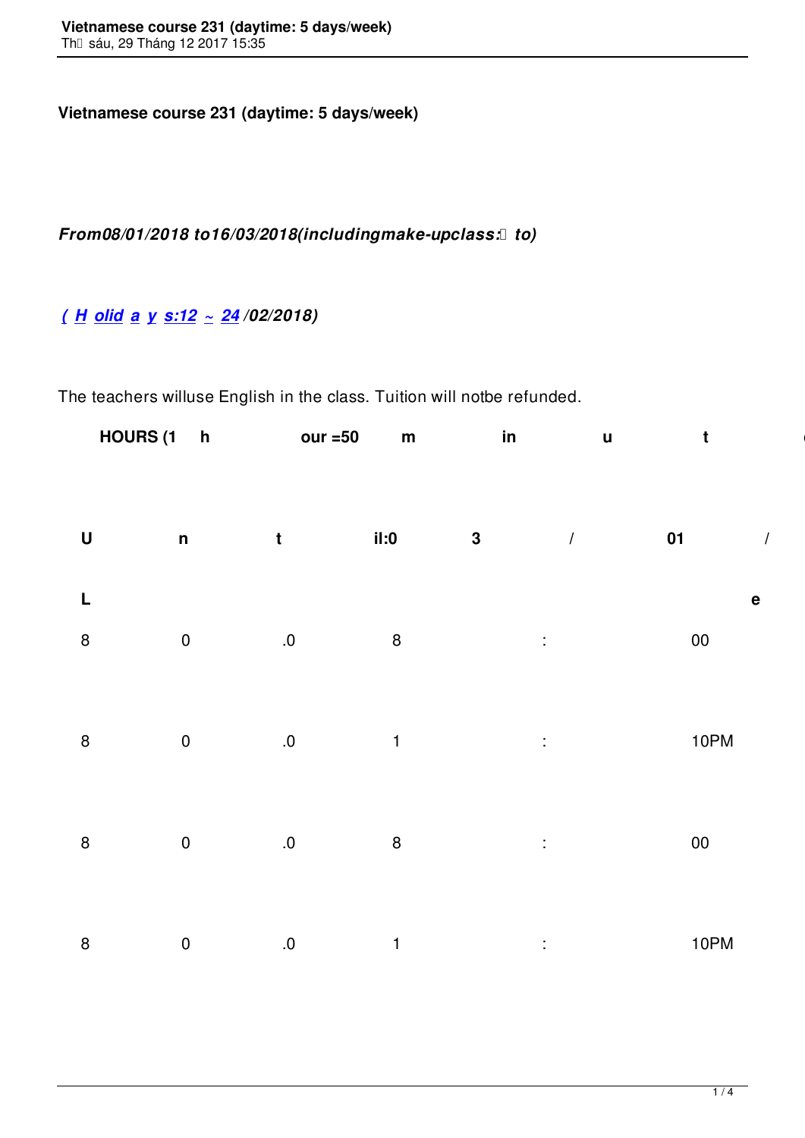## *From08/01/2018 to16/03/2018(includingmake-upclass: to)*

## *( H olid a y s:12 ~ 24 /02/2018)*

[The](http://www.vns.edu.vn/) [teachers](http://www.vns.edu.vn/) [willuse](http://www.vns.edu.vn/) [Eng](http://www.vns.edu.vn/)lish in the class. Tuition will notbe refunded.

| HOURS (1 h our =50 m in u t es)                                                                                                                                                                                                     |  |  |
|-------------------------------------------------------------------------------------------------------------------------------------------------------------------------------------------------------------------------------------|--|--|
|                                                                                                                                                                                                                                     |  |  |
|                                                                                                                                                                                                                                     |  |  |
| <b>Example 19</b> and 20 and 20 and 20 and 20 and 20 and 20 and 20 and 20 and 20 and 20 and 20 and 20 and 20 and 20 and 20 and 20 and 20 and 20 and 20 and 20 and 20 and 20 and 20 and 20 and 20 and 20 and 20 and 20 and 20 and 20 |  |  |
| $8 \t 0 \t .0 \t 8 \t : \t 00$                                                                                                                                                                                                      |  |  |
|                                                                                                                                                                                                                                     |  |  |
| 8 0 .0 1 : 10PM                                                                                                                                                                                                                     |  |  |
|                                                                                                                                                                                                                                     |  |  |
| $8 \t 0 \t .0 \t 8 \t : \t 00$                                                                                                                                                                                                      |  |  |
|                                                                                                                                                                                                                                     |  |  |
| 8 0 .0 1 : 10PM                                                                                                                                                                                                                     |  |  |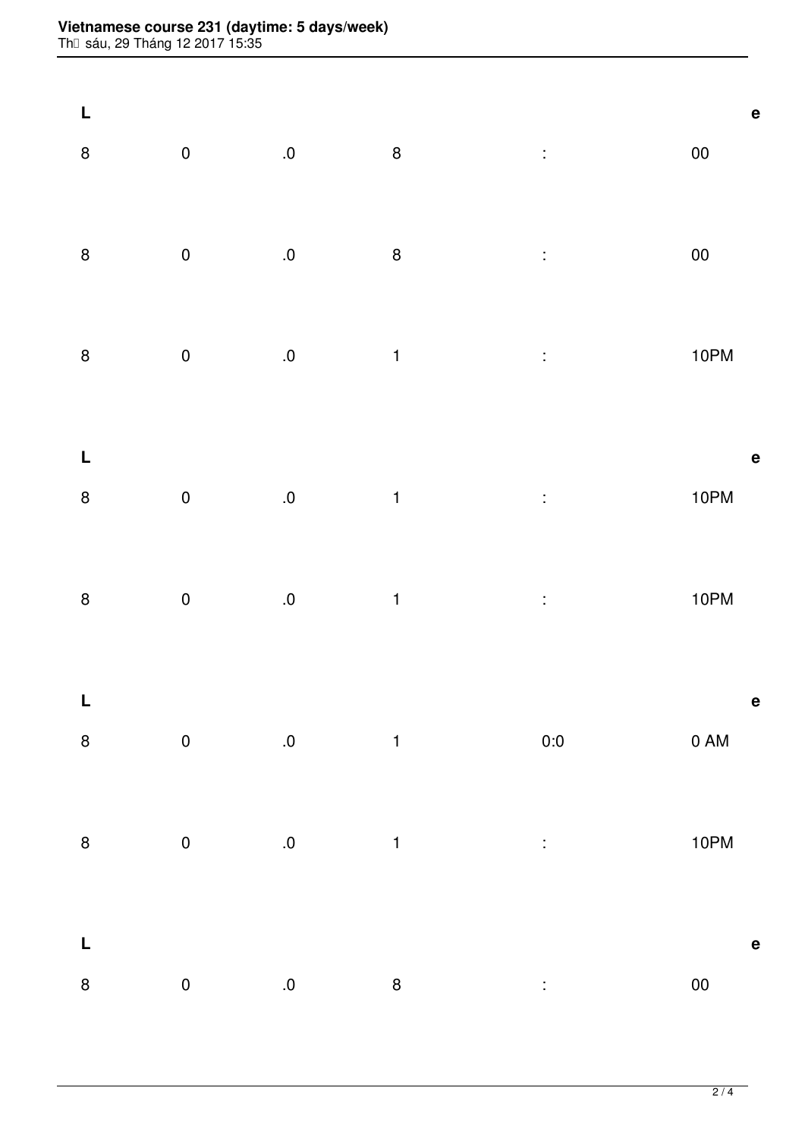## **Vietnamese course 231 (daytime: 5 days/week)**

Th⊡ sáu, 29 Tháng 12 2017 15:35

|                                                                                                                                                                     |              | $8 \t 0 \t .0$ $8 \t .0$ |  |  |
|---------------------------------------------------------------------------------------------------------------------------------------------------------------------|--------------|--------------------------|--|--|
|                                                                                                                                                                     |              |                          |  |  |
| $8 \t 0 \t .0$ $8 \t .0$                                                                                                                                            |              |                          |  |  |
|                                                                                                                                                                     |              |                          |  |  |
|                                                                                                                                                                     |              | 8 0 .0 1 : 10PM          |  |  |
|                                                                                                                                                                     |              |                          |  |  |
|                                                                                                                                                                     |              |                          |  |  |
|                                                                                                                                                                     | $\mathbf{e}$ | 8 0 .0 1 : 10PM          |  |  |
|                                                                                                                                                                     |              |                          |  |  |
|                                                                                                                                                                     |              | 8 0 .0 1 : 10PM          |  |  |
|                                                                                                                                                                     |              |                          |  |  |
|                                                                                                                                                                     |              |                          |  |  |
|                                                                                                                                                                     |              | 8 0 0 0 1 0 0 0 0 AM     |  |  |
|                                                                                                                                                                     |              |                          |  |  |
|                                                                                                                                                                     |              | 8 0 0 0 1 : 10PM         |  |  |
|                                                                                                                                                                     |              |                          |  |  |
|                                                                                                                                                                     |              |                          |  |  |
| $\begin{matrix} 8 & 0 & 0 \end{matrix} \qquad \qquad \begin{matrix} 8 & 8 \end{matrix} \qquad \qquad \begin{matrix} \vdots & \vdots & \vdots & \vdots \end{matrix}$ |              |                          |  |  |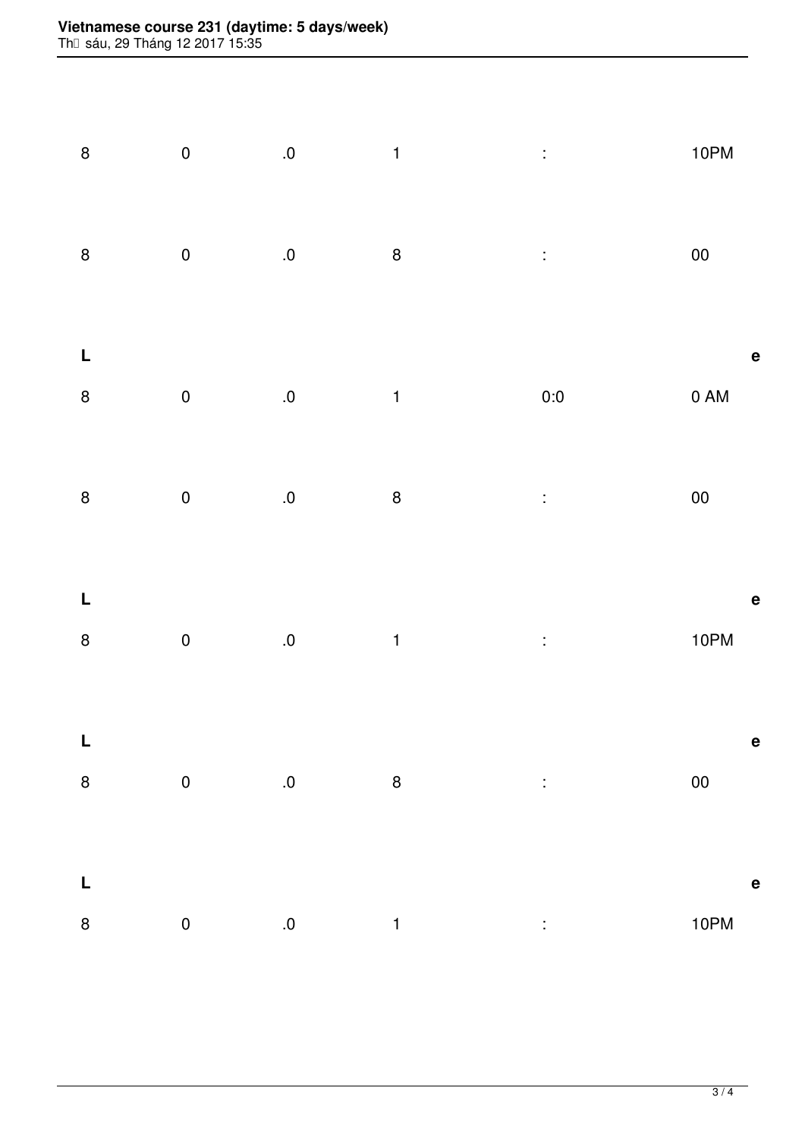## **Vietnamese course 231 (daytime: 5 days/week)**

Th⊡ sáu, 29 Tháng 12 2017 15:35

|                                                             |  | 8 0 .0 1 : 10PM                                                                                                                                        |                                                                                                                                                                                                                                |
|-------------------------------------------------------------|--|--------------------------------------------------------------------------------------------------------------------------------------------------------|--------------------------------------------------------------------------------------------------------------------------------------------------------------------------------------------------------------------------------|
|                                                             |  | $8$ 0 $0$ $8$ : 00                                                                                                                                     |                                                                                                                                                                                                                                |
|                                                             |  | $\mathsf L$ equal to the contract of $\mathsf R$<br>8 0 0 0 1 0 0 0 0 AM                                                                               |                                                                                                                                                                                                                                |
|                                                             |  |                                                                                                                                                        |                                                                                                                                                                                                                                |
| $\mathbf{L}_{\mathrm{max}}$ and $\mathbf{L}_{\mathrm{max}}$ |  | $\mathbf{e}$<br>8 0 0 0 1 : 10PM                                                                                                                       |                                                                                                                                                                                                                                |
|                                                             |  |                                                                                                                                                        |                                                                                                                                                                                                                                |
| $\mathbf{L}$                                                |  | $\begin{array}{cccccccccccccc} 8 & & & 0 & & & 0 & & 8 & & & \ \end{array}$ . O and $\begin{array}{cccccccccc} 8 & & & & 0 & & & 00 & & & \end{array}$ |                                                                                                                                                                                                                                |
|                                                             |  | 8 0 0 0 1 : 10PM                                                                                                                                       | e de la contradición de la contradición de la contradición de la contradición de la contradición de la contradición de la contradición de la contradición de la contradición de la contradición de la contradición de la contr |